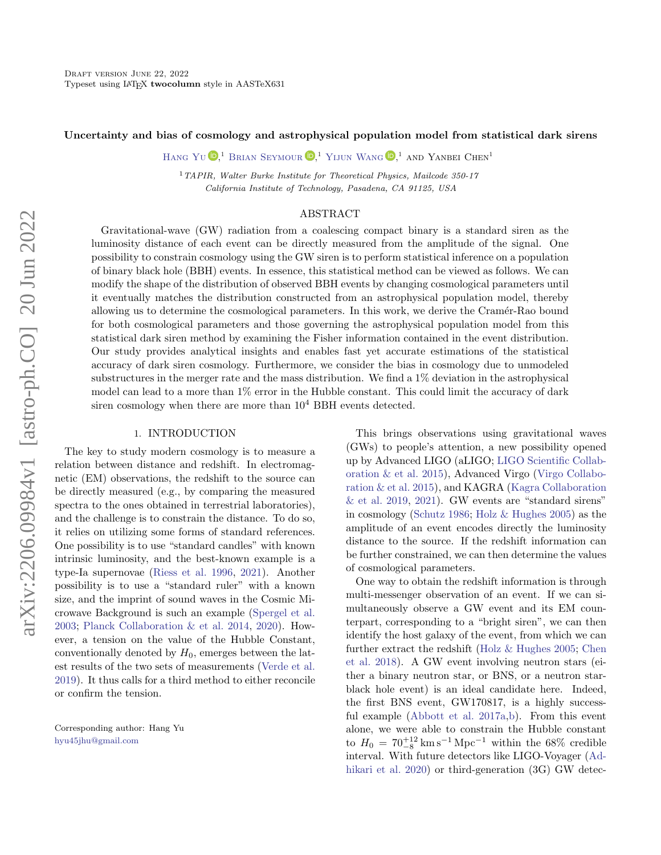## Uncertainty and bias of cosmology and astrophysical population model from statistical dark sirens

HANG YU  $\mathbb{D}$ <sup>1</sup> [Brian Seymour](http://orcid.org/0000-0002-7865-1052)  $\mathbb{D}$ <sup>1</sup> [Yijun Wang](http://orcid.org/0000-0002-5581-2001)  $\mathbb{D}$ <sup>1</sup> and Yanbei Chen<sup>1</sup>

<sup>1</sup> TAPIR, Walter Burke Institute for Theoretical Physics, Mailcode 350-17 California Institute of Technology, Pasadena, CA 91125, USA

# ABSTRACT

Gravitational-wave (GW) radiation from a coalescing compact binary is a standard siren as the luminosity distance of each event can be directly measured from the amplitude of the signal. One possibility to constrain cosmology using the GW siren is to perform statistical inference on a population of binary black hole (BBH) events. In essence, this statistical method can be viewed as follows. We can modify the shape of the distribution of observed BBH events by changing cosmological parameters until it eventually matches the distribution constructed from an astrophysical population model, thereby allowing us to determine the cosmological parameters. In this work, we derive the Cramér-Rao bound for both cosmological parameters and those governing the astrophysical population model from this statistical dark siren method by examining the Fisher information contained in the event distribution. Our study provides analytical insights and enables fast yet accurate estimations of the statistical accuracy of dark siren cosmology. Furthermore, we consider the bias in cosmology due to unmodeled substructures in the merger rate and the mass distribution. We find a 1% deviation in the astrophysical model can lead to a more than 1% error in the Hubble constant. This could limit the accuracy of dark siren cosmology when there are more than  $10^4$  BBH events detected.

## 1. INTRODUCTION

The key to study modern cosmology is to measure a relation between distance and redshift. In electromagnetic (EM) observations, the redshift to the source can be directly measured (e.g., by comparing the measured spectra to the ones obtained in terrestrial laboratories), and the challenge is to constrain the distance. To do so, it relies on utilizing some forms of standard references. One possibility is to use "standard candles" with known intrinsic luminosity, and the best-known example is a type-Ia supernovae [\(Riess et al.](#page-13-0) [1996,](#page-13-0) [2021\)](#page-13-1). Another possibility is to use a "standard ruler" with a known size, and the imprint of sound waves in the Cosmic Microwave Background is such an example [\(Spergel et al.](#page-14-0) [2003;](#page-14-0) [Planck Collaboration & et al.](#page-13-2) [2014,](#page-13-2) [2020\)](#page-13-3). However, a tension on the value of the Hubble Constant, conventionally denoted by  $H_0$ , emerges between the latest results of the two sets of measurements [\(Verde et al.](#page-14-1) [2019\)](#page-14-1). It thus calls for a third method to either reconcile or confirm the tension.

Corresponding author: Hang Yu [hyu45jhu@gmail.com](mailto: hyu45jhu@gmail.com)

This brings observations using gravitational waves (GWs) to people's attention, a new possibility opened up by Advanced LIGO (aLIGO; [LIGO Scientific Collab](#page-13-4)[oration & et al.](#page-13-4) [2015\)](#page-13-4), Advanced Virgo [\(Virgo Collabo](#page-14-2)[ration & et al.](#page-14-2) [2015\)](#page-14-2), and KAGRA [\(Kagra Collaboration](#page-13-5)  $&$  et al. [2019,](#page-13-5) [2021\)](#page-13-6). GW events are "standard sirens" in cosmology [\(Schutz](#page-13-7) [1986;](#page-13-7) [Holz & Hughes](#page-13-8) [2005\)](#page-13-8) as the amplitude of an event encodes directly the luminosity distance to the source. If the redshift information can be further constrained, we can then determine the values of cosmological parameters.

One way to obtain the redshift information is through multi-messenger observation of an event. If we can simultaneously observe a GW event and its EM counterpart, corresponding to a "bright siren", we can then identify the host galaxy of the event, from which we can further extract the redshift [\(Holz & Hughes](#page-13-8) [2005;](#page-13-8) [Chen](#page-12-0) [et al.](#page-12-0) [2018\)](#page-12-0). A GW event involving neutron stars (either a binary neutron star, or BNS, or a neutron starblack hole event) is an ideal candidate here. Indeed, the first BNS event, GW170817, is a highly successful example [\(Abbott et al.](#page-11-0) [2017a,](#page-11-0)[b\)](#page-11-1). From this event alone, we were able to constrain the Hubble constant to  $H_0 = 70^{+12}_{-8}$  km s<sup>-1</sup> Mpc<sup>-1</sup> within the 68% credible interval. With future detectors like LIGO-Voyager [\(Ad](#page-11-2)[hikari et al.](#page-11-2) [2020\)](#page-11-2) or third-generation (3G) GW detec-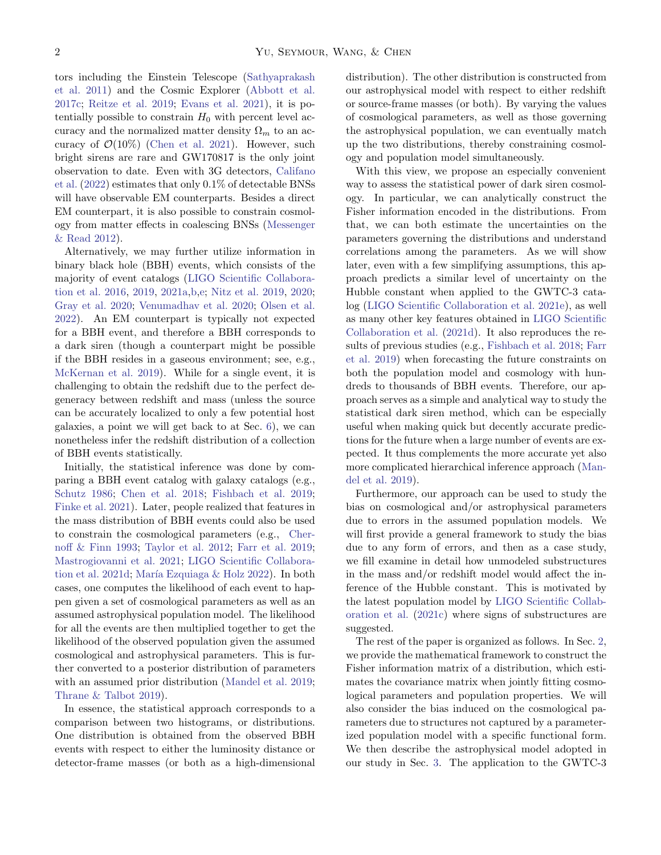tors including the Einstein Telescope [\(Sathyaprakash](#page-13-9) [et al.](#page-13-9) [2011\)](#page-13-9) and the Cosmic Explorer [\(Abbott et al.](#page-11-3) [2017c;](#page-11-3) [Reitze et al.](#page-13-10) [2019;](#page-13-10) [Evans et al.](#page-12-1) [2021\)](#page-12-1), it is potentially possible to constrain  $H_0$  with percent level accuracy and the normalized matter density  $\Omega_m$  to an accuracy of  $\mathcal{O}(10\%)$  [\(Chen et al.](#page-12-2) [2021\)](#page-12-2). However, such bright sirens are rare and GW170817 is the only joint observation to date. Even with 3G detectors, [Califano](#page-12-3) [et al.](#page-12-3) [\(2022\)](#page-12-3) estimates that only 0.1% of detectable BNSs will have observable EM counterparts. Besides a direct EM counterpart, it is also possible to constrain cosmology from matter effects in coalescing BNSs [\(Messenger](#page-13-11) [& Read](#page-13-11) [2012\)](#page-13-11).

Alternatively, we may further utilize information in binary black hole (BBH) events, which consists of the majority of event catalogs [\(LIGO Scientific Collabora](#page-13-12)[tion et al.](#page-13-12) [2016,](#page-13-12) [2019,](#page-13-13) [2021a,](#page-13-14)[b](#page-13-15)[,e;](#page-13-16) [Nitz et al.](#page-13-17) [2019,](#page-13-17) [2020;](#page-13-18) [Gray et al.](#page-13-19) [2020;](#page-13-19) [Venumadhav et al.](#page-14-3) [2020;](#page-14-3) [Olsen et al.](#page-13-20) [2022\)](#page-13-20). An EM counterpart is typically not expected for a BBH event, and therefore a BBH corresponds to a dark siren (though a counterpart might be possible if the BBH resides in a gaseous environment; see, e.g., [McKernan et al.](#page-13-21) [2019\)](#page-13-21). While for a single event, it is challenging to obtain the redshift due to the perfect degeneracy between redshift and mass (unless the source can be accurately localized to only a few potential host galaxies, a point we will get back to at Sec. [6\)](#page-9-0), we can nonetheless infer the redshift distribution of a collection of BBH events statistically.

Initially, the statistical inference was done by comparing a BBH event catalog with galaxy catalogs (e.g., [Schutz](#page-13-7) [1986;](#page-13-7) [Chen et al.](#page-12-0) [2018;](#page-12-0) [Fishbach et al.](#page-13-22) [2019;](#page-13-22) [Finke et al.](#page-12-4) [2021\)](#page-12-4). Later, people realized that features in the mass distribution of BBH events could also be used to constrain the cosmological parameters (e.g., [Cher](#page-12-5)[noff & Finn](#page-12-5) [1993;](#page-12-5) [Taylor et al.](#page-14-4) [2012;](#page-14-4) [Farr et al.](#page-12-6) [2019;](#page-12-6) [Mastrogiovanni et al.](#page-13-23) [2021;](#page-13-23) [LIGO Scientific Collabora](#page-13-24)[tion et al.](#page-13-24) [2021d;](#page-13-24) María Ezquiaga  $\&$  Holz [2022\)](#page-13-25). In both cases, one computes the likelihood of each event to happen given a set of cosmological parameters as well as an assumed astrophysical population model. The likelihood for all the events are then multiplied together to get the likelihood of the observed population given the assumed cosmological and astrophysical parameters. This is further converted to a posterior distribution of parameters with an assumed prior distribution [\(Mandel et al.](#page-13-26) [2019;](#page-13-26) [Thrane & Talbot](#page-14-5) [2019\)](#page-14-5).

In essence, the statistical approach corresponds to a comparison between two histograms, or distributions. One distribution is obtained from the observed BBH events with respect to either the luminosity distance or detector-frame masses (or both as a high-dimensional

distribution). The other distribution is constructed from our astrophysical model with respect to either redshift or source-frame masses (or both). By varying the values of cosmological parameters, as well as those governing the astrophysical population, we can eventually match up the two distributions, thereby constraining cosmology and population model simultaneously.

With this view, we propose an especially convenient way to assess the statistical power of dark siren cosmology. In particular, we can analytically construct the Fisher information encoded in the distributions. From that, we can both estimate the uncertainties on the parameters governing the distributions and understand correlations among the parameters. As we will show later, even with a few simplifying assumptions, this approach predicts a similar level of uncertainty on the Hubble constant when applied to the GWTC-3 catalog [\(LIGO Scientific Collaboration et al.](#page-13-16) [2021e\)](#page-13-16), as well as many other key features obtained in [LIGO Scientific](#page-13-24) [Collaboration et al.](#page-13-24) [\(2021d\)](#page-13-24). It also reproduces the results of previous studies (e.g., [Fishbach et al.](#page-12-7) [2018;](#page-12-7) [Farr](#page-12-6) [et al.](#page-12-6) [2019\)](#page-12-6) when forecasting the future constraints on both the population model and cosmology with hundreds to thousands of BBH events. Therefore, our approach serves as a simple and analytical way to study the statistical dark siren method, which can be especially useful when making quick but decently accurate predictions for the future when a large number of events are expected. It thus complements the more accurate yet also more complicated hierarchical inference approach [\(Man](#page-13-26)[del et al.](#page-13-26) [2019\)](#page-13-26).

Furthermore, our approach can be used to study the bias on cosmological and/or astrophysical parameters due to errors in the assumed population models. We will first provide a general framework to study the bias due to any form of errors, and then as a case study, we fill examine in detail how unmodeled substructures in the mass and/or redshift model would affect the inference of the Hubble constant. This is motivated by the latest population model by [LIGO Scientific Collab](#page-13-27)[oration et al.](#page-13-27) [\(2021c\)](#page-13-27) where signs of substructures are suggested.

The rest of the paper is organized as follows. In Sec. [2,](#page-2-0) we provide the mathematical framework to construct the Fisher information matrix of a distribution, which estimates the covariance matrix when jointly fitting cosmological parameters and population properties. We will also consider the bias induced on the cosmological parameters due to structures not captured by a parameterized population model with a specific functional form. We then describe the astrophysical model adopted in our study in Sec. [3.](#page-4-0) The application to the GWTC-3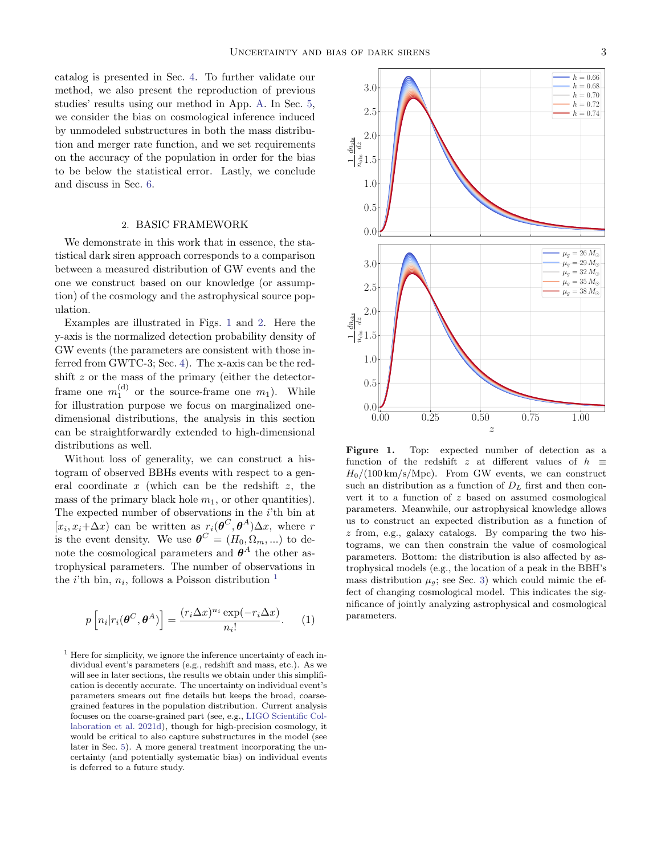catalog is presented in Sec. [4.](#page-5-0) To further validate our method, we also present the reproduction of previous studies' results using our method in App. [A.](#page-11-4) In Sec. [5,](#page-7-0) we consider the bias on cosmological inference induced by unmodeled substructures in both the mass distribution and merger rate function, and we set requirements on the accuracy of the population in order for the bias to be below the statistical error. Lastly, we conclude and discuss in Sec. [6.](#page-9-0)

### 2. BASIC FRAMEWORK

<span id="page-2-0"></span>We demonstrate in this work that in essence, the statistical dark siren approach corresponds to a comparison between a measured distribution of GW events and the one we construct based on our knowledge (or assumption) of the cosmology and the astrophysical source population.

Examples are illustrated in Figs. [1](#page-2-1) and [2.](#page-3-0) Here the y-axis is the normalized detection probability density of GW events (the parameters are consistent with those inferred from GWTC-3; Sec. [4\)](#page-5-0). The x-axis can be the redshift z or the mass of the primary (either the detectorframe one  $m_1^{(d)}$  or the source-frame one  $m_1$ ). While for illustration purpose we focus on marginalized onedimensional distributions, the analysis in this section can be straightforwardly extended to high-dimensional distributions as well.

Without loss of generality, we can construct a histogram of observed BBHs events with respect to a general coordinate  $x$  (which can be the redshift  $z$ , the mass of the primary black hole  $m_1$ , or other quantities). The expected number of observations in the i'th bin at  $[x_i, x_i + \Delta x]$  can be written as  $r_i(\boldsymbol{\theta}^C, \boldsymbol{\theta}^A) \Delta x$ , where r is the event density. We use  $\boldsymbol{\theta}^C = (H_0, \Omega_m, ...)$  to denote the cosmological parameters and  $\boldsymbol{\theta}^A$  the other astrophysical parameters. The number of observations in the *i*'th bin,  $n_i$ , follows a Poisson distribution <sup>[1](#page-2-2)</sup>

$$
p\left[n_i|r_i(\boldsymbol{\theta}^C,\boldsymbol{\theta}^A)\right] = \frac{(r_i \Delta x)^{n_i} \exp(-r_i \Delta x)}{n_i!}.
$$
 (1)

<span id="page-2-2"></span> $<sup>1</sup>$  Here for simplicity, we ignore the inference uncertainty of each in-</sup> dividual event's parameters (e.g., redshift and mass, etc.). As we will see in later sections, the results we obtain under this simplification is decently accurate. The uncertainty on individual event's parameters smears out fine details but keeps the broad, coarsegrained features in the population distribution. Current analysis focuses on the coarse-grained part (see, e.g., [LIGO Scientific Col](#page-13-24)[laboration et al.](#page-13-24) [2021d\)](#page-13-24), though for high-precision cosmology, it would be critical to also capture substructures in the model (see later in Sec. [5\)](#page-7-0). A more general treatment incorporating the uncertainty (and potentially systematic bias) on individual events is deferred to a future study.



<span id="page-2-1"></span>Figure 1. Top: expected number of detection as a function of the redshift z at different values of  $h \equiv$  $H_0/(100 \text{ km/s/Mpc})$ . From GW events, we can construct such an distribution as a function of  $D<sub>L</sub>$  first and then convert it to a function of z based on assumed cosmological parameters. Meanwhile, our astrophysical knowledge allows us to construct an expected distribution as a function of z from, e.g., galaxy catalogs. By comparing the two histograms, we can then constrain the value of cosmological parameters. Bottom: the distribution is also affected by astrophysical models (e.g., the location of a peak in the BBH's mass distribution  $\mu_g$ ; see Sec. [3\)](#page-4-0) which could mimic the effect of changing cosmological model. This indicates the significance of jointly analyzing astrophysical and cosmological parameters.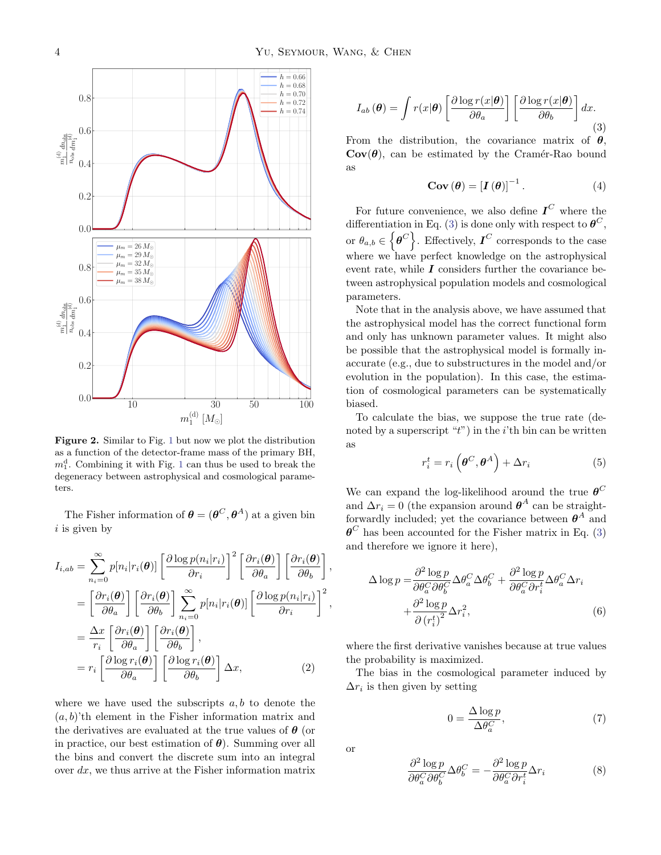

<span id="page-3-0"></span>Figure 2. Similar to Fig. [1](#page-2-1) but now we plot the distribution as a function of the detector-frame mass of the primary BH,  $m_1^d$  $m_1^d$  $m_1^d$ . Combining it with Fig. 1 can thus be used to break the degeneracy between astrophysical and cosmological parameters.

The Fisher information of  $\boldsymbol{\theta} = (\boldsymbol{\theta}^C, \boldsymbol{\theta}^A)$  at a given bin  $i$  is given by

$$
I_{i,ab} = \sum_{n_i=0}^{\infty} p[n_i|r_i(\boldsymbol{\theta})] \left[ \frac{\partial \log p(n_i|r_i)}{\partial r_i} \right]^2 \left[ \frac{\partial r_i(\boldsymbol{\theta})}{\partial \theta_a} \right] \left[ \frac{\partial r_i(\boldsymbol{\theta})}{\partial \theta_b} \right]
$$
  
\n
$$
= \left[ \frac{\partial r_i(\boldsymbol{\theta})}{\partial \theta_a} \right] \left[ \frac{\partial r_i(\boldsymbol{\theta})}{\partial \theta_b} \right] \sum_{n_i=0}^{\infty} p[n_i|r_i(\boldsymbol{\theta})] \left[ \frac{\partial \log p(n_i|r_i)}{\partial r_i} \right]^2
$$
  
\n
$$
= \frac{\Delta x}{r_i} \left[ \frac{\partial r_i(\boldsymbol{\theta})}{\partial \theta_a} \right] \left[ \frac{\partial r_i(\boldsymbol{\theta})}{\partial \theta_b} \right],
$$
  
\n
$$
= r_i \left[ \frac{\partial \log r_i(\boldsymbol{\theta})}{\partial \theta_a} \right] \left[ \frac{\partial \log r_i(\boldsymbol{\theta})}{\partial \theta_b} \right] \Delta x,
$$
 (2)

where we have used the subscripts  $a, b$  to denote the  $(a, b)$ 'th element in the Fisher information matrix and the derivatives are evaluated at the true values of  $\theta$  (or in practice, our best estimation of  $\theta$ ). Summing over all the bins and convert the discrete sum into an integral over  $dx$ , we thus arrive at the Fisher information matrix

<span id="page-3-1"></span>
$$
I_{ab}(\boldsymbol{\theta}) = \int r(x|\boldsymbol{\theta}) \left[ \frac{\partial \log r(x|\boldsymbol{\theta})}{\partial \theta_a} \right] \left[ \frac{\partial \log r(x|\boldsymbol{\theta})}{\partial \theta_b} \right] dx.
$$
\n(3)

From the distribution, the covariance matrix of  $\theta$ ,  $Cov(\theta)$ , can be estimated by the Cramér-Rao bound as

$$
\mathbf{Cov}(\boldsymbol{\theta}) = \left[\boldsymbol{I}(\boldsymbol{\theta})\right]^{-1}.
$$
 (4)

For future convenience, we also define  $I^C$  where the differentiation in Eq. [\(3\)](#page-3-1) is done only with respect to  $\boldsymbol{\theta}^C$ , or  $\theta_{a,b} \in \left\{\boldsymbol{\theta}^C\right\}$ . Effectively,  $\boldsymbol{I}^C$  corresponds to the case where we have perfect knowledge on the astrophysical event rate, while  $\boldsymbol{I}$  considers further the covariance between astrophysical population models and cosmological parameters.

Note that in the analysis above, we have assumed that the astrophysical model has the correct functional form and only has unknown parameter values. It might also be possible that the astrophysical model is formally inaccurate (e.g., due to substructures in the model and/or evolution in the population). In this case, the estimation of cosmological parameters can be systematically biased.

To calculate the bias, we suppose the true rate (denoted by a superscript " $t$ ") in the *i*'th bin can be written as

$$
r_i^t = r_i \left( \boldsymbol{\theta}^C, \boldsymbol{\theta}^A \right) + \Delta r_i \tag{5}
$$

We can expand the log-likelihood around the true  $\boldsymbol{\theta}^C$ and  $\Delta r_i = 0$  (the expansion around  $\boldsymbol{\theta}^A$  can be straightforwardly included; yet the covariance between  $\boldsymbol{\theta}^A$  and  $\boldsymbol{\theta}^C$  has been accounted for the Fisher matrix in Eq. [\(3\)](#page-3-1) and therefore we ignore it here),

$$
\Delta \log p = \frac{\partial^2 \log p}{\partial \theta_a^C \partial \theta_b^C} \Delta \theta_a^C \Delta \theta_b^C + \frac{\partial^2 \log p}{\partial \theta_a^C \partial r_i^t} \Delta \theta_a^C \Delta r_i + \frac{\partial^2 \log p}{\partial (r_i^t)^2} \Delta r_i^2,
$$
\n(6)

where the first derivative vanishes because at true values the probability is maximized.

The bias in the cosmological parameter induced by  $\Delta r_i$  is then given by setting

$$
0 = \frac{\Delta \log p}{\Delta \theta_a^C},\tag{7}
$$

or

,

,

$$
\frac{\partial^2 \log p}{\partial \theta_a^C \partial \theta_b^C} \Delta \theta_b^C = -\frac{\partial^2 \log p}{\partial \theta_a^C \partial r_i^t} \Delta r_i \tag{8}
$$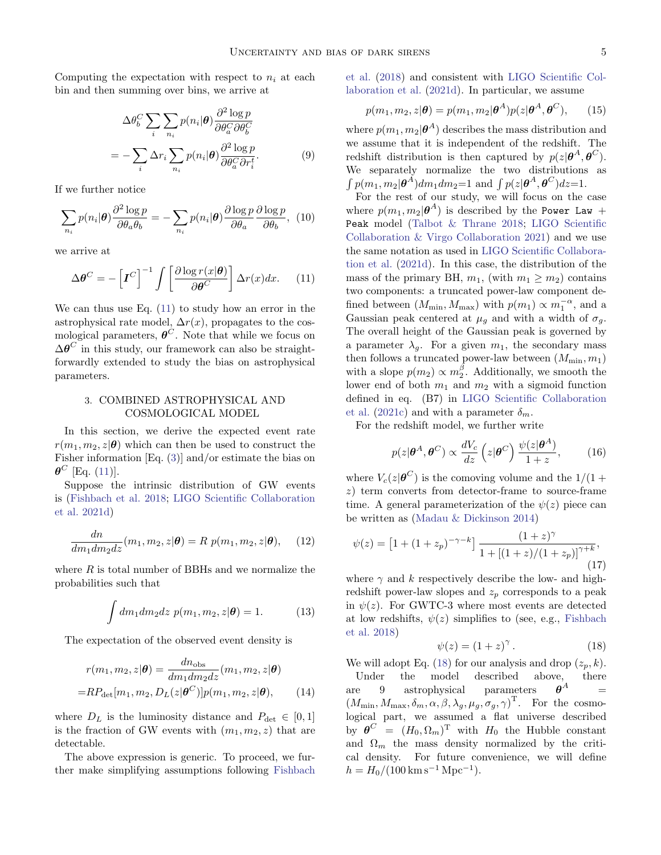Computing the expectation with respect to  $n_i$  at each bin and then summing over bins, we arrive at

$$
\Delta \theta_b^C \sum_i \sum_{n_i} p(n_i | \boldsymbol{\theta}) \frac{\partial^2 \log p}{\partial \theta_a^C \partial \theta_b^C}
$$

$$
= -\sum_i \Delta r_i \sum_{n_i} p(n_i | \boldsymbol{\theta}) \frac{\partial^2 \log p}{\partial \theta_a^C \partial r_i^t}.
$$
(9)

If we further notice

$$
\sum_{n_i} p(n_i|\boldsymbol{\theta}) \frac{\partial^2 \log p}{\partial \theta_a \theta_b} = -\sum_{n_i} p(n_i|\boldsymbol{\theta}) \frac{\partial \log p}{\partial \theta_a} \frac{\partial \log p}{\partial \theta_b}, \tag{10}
$$

we arrive at

<span id="page-4-1"></span>
$$
\Delta \boldsymbol{\theta}^C = -\left[\boldsymbol{I}^C\right]^{-1} \int \left[\frac{\partial \log r(x|\boldsymbol{\theta})}{\partial \boldsymbol{\theta}^C}\right] \Delta r(x) dx. \tag{11}
$$

We can thus use Eq.  $(11)$  to study how an error in the astrophysical rate model,  $\Delta r(x)$ , propagates to the cosmological parameters,  $\boldsymbol{\theta}^C$ . Note that while we focus on  $\Delta\boldsymbol{\theta}^C$  in this study, our framework can also be straightforwardly extended to study the bias on astrophysical parameters.

# <span id="page-4-0"></span>3. COMBINED ASTROPHYSICAL AND COSMOLOGICAL MODEL

In this section, we derive the expected event rate  $r(m_1, m_2, z|\theta)$  which can then be used to construct the Fisher information [Eq. [\(3\)](#page-3-1)] and/or estimate the bias on  $\pmb{\theta}^C$  [Eq. [\(11\)](#page-4-1)].

Suppose the intrinsic distribution of GW events is [\(Fishbach et al.](#page-12-7) [2018;](#page-12-7) [LIGO Scientific Collaboration](#page-13-24) [et al.](#page-13-24) [2021d\)](#page-13-24)

$$
\frac{dn}{dm_1dm_2dz}(m_1, m_2, z|\boldsymbol{\theta}) = R p(m_1, m_2, z|\boldsymbol{\theta}), \quad (12)
$$

where  $R$  is total number of BBHs and we normalize the probabilities such that

$$
\int dm_1 dm_2 dz \ p(m_1, m_2, z | \boldsymbol{\theta}) = 1.
$$
 (13)

The expectation of the observed event density is

$$
r(m_1, m_2, z | \boldsymbol{\theta}) = \frac{dn_{\text{obs}}}{dm_1 dm_2 dz} (m_1, m_2, z | \boldsymbol{\theta})
$$

$$
= R P_{\text{det}}[m_1, m_2, D_L(z | \boldsymbol{\theta}^C)] p(m_1, m_2, z | \boldsymbol{\theta}), \qquad (14)
$$

where  $D_L$  is the luminosity distance and  $P_{\text{det}} \in [0,1]$ is the fraction of GW events with  $(m_1, m_2, z)$  that are detectable.

The above expression is generic. To proceed, we further make simplifying assumptions following [Fishbach](#page-12-7)

[et al.](#page-12-7) [\(2018\)](#page-12-7) and consistent with [LIGO Scientific Col](#page-13-24)[laboration et al.](#page-13-24) [\(2021d\)](#page-13-24). In particular, we assume

$$
p(m_1, m_2, z | \boldsymbol{\theta}) = p(m_1, m_2 | \boldsymbol{\theta}^A) p(z | \boldsymbol{\theta}^A, \boldsymbol{\theta}^C), \qquad (15)
$$

where  $p(m_1, m_2 | \boldsymbol{\theta}^A)$  describes the mass distribution and we assume that it is independent of the redshift. The redshift distribution is then captured by  $p(z|\theta^A, \theta^C)$ . We separately normalize the two distributions as  $\int p(m_1, m_2 | \boldsymbol{\theta}^A) dm_1 dm_2 = 1$  and  $\int p(z | \boldsymbol{\theta}^A, \boldsymbol{\theta}^C) dz = 1$ .

For the rest of our study, we will focus on the case where  $p(m_1, m_2|\boldsymbol{\theta}^A)$  is described by the Power Law + Peak model [\(Talbot & Thrane](#page-14-6) [2018;](#page-14-6) [LIGO Scientific](#page-13-28) [Collaboration & Virgo Collaboration](#page-13-28) [2021\)](#page-13-28) and we use the same notation as used in [LIGO Scientific Collabora](#page-13-24)[tion et al.](#page-13-24) [\(2021d\)](#page-13-24). In this case, the distribution of the mass of the primary BH,  $m_1$ , (with  $m_1 \geq m_2$ ) contains two components: a truncated power-law component defined between  $(M_{\min}, M_{\max})$  with  $p(m_1) \propto m_1^{-\alpha}$ , and a Gaussian peak centered at  $\mu_g$  and with a width of  $\sigma_g$ . The overall height of the Gaussian peak is governed by a parameter  $\lambda_a$ . For a given  $m_1$ , the secondary mass then follows a truncated power-law between  $(M_{\min},m_1)$ with a slope  $p(m_2) \propto m_2^{\beta}$ . Additionally, we smooth the lower end of both  $m_1$  and  $m_2$  with a sigmoid function defined in eq. (B7) in [LIGO Scientific Collaboration](#page-13-27) [et al.](#page-13-27) [\(2021c\)](#page-13-27) and with a parameter  $\delta_m$ .

For the redshift model, we further write

<span id="page-4-4"></span>
$$
p(z|\boldsymbol{\theta}^A, \boldsymbol{\theta}^C) \propto \frac{dV_c}{dz} \left( z|\boldsymbol{\theta}^C \right) \frac{\psi(z|\boldsymbol{\theta}^A)}{1+z},\qquad(16)
$$

where  $V_c(z|\boldsymbol{\theta}^C)$  is the comoving volume and the  $1/(1 +$ z) term converts from detector-frame to source-frame time. A general parameterization of the  $\psi(z)$  piece can be written as [\(Madau & Dickinson](#page-13-29) [2014\)](#page-13-29)

$$
\psi(z) = \left[1 + (1 + z_p)^{-\gamma - k}\right] \frac{(1+z)^{\gamma}}{1 + \left[(1+z)/(1+z_p)\right]^{\gamma + k}},\tag{17}
$$

where  $\gamma$  and k respectively describe the low- and highredshift power-law slopes and  $z_p$  corresponds to a peak in  $\psi(z)$ . For GWTC-3 where most events are detected at low redshifts,  $\psi(z)$  simplifies to (see, e.g., [Fishbach](#page-12-7) [et al.](#page-12-7) [2018\)](#page-12-7)

<span id="page-4-2"></span>
$$
\psi(z) = (1+z)^{\gamma}.
$$
\n(18)

<span id="page-4-3"></span>We will adopt Eq. [\(18\)](#page-4-2) for our analysis and drop  $(z_p, k)$ . Under the model described above, there are 9 astrophysical parameters  $\boldsymbol{\theta}^A$  $(M_{\min}, M_{\max}, \delta_m, \alpha, \beta, \lambda_g, \mu_g, \sigma_g, \gamma)^{\mathrm{T}}$ . For the cosmological part, we assumed a flat universe described by  $\boldsymbol{\theta}^C = (H_0, \Omega_m)^{\mathrm{T}}$  with  $H_0$  the Hubble constant and  $\Omega_m$  the mass density normalized by the critical density. For future convenience, we will define  $h = H_0/(100 \,\mathrm{km\,s^{-1}\,Mpc^{-1}}).$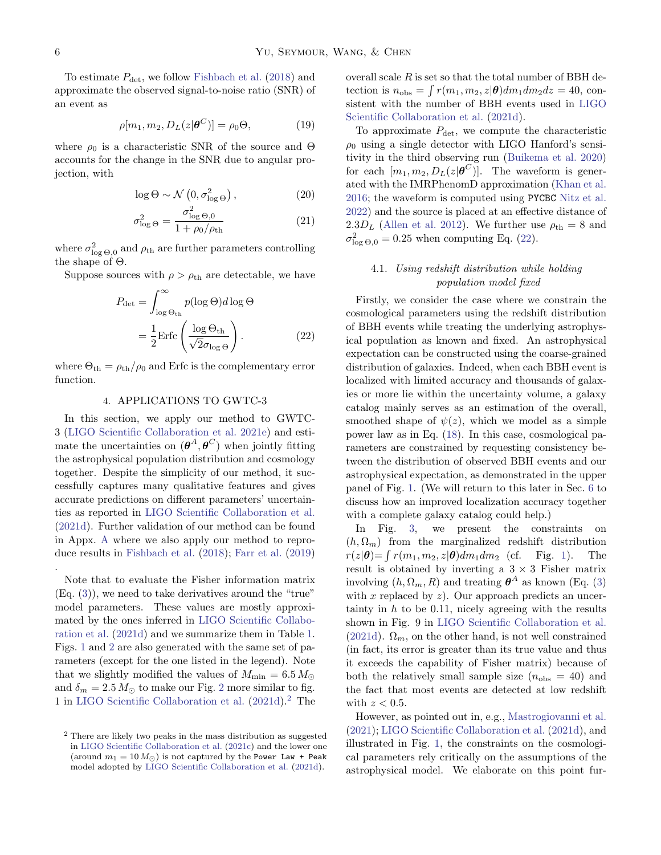To estimate  $P_{\text{det}}$ , we follow [Fishbach et al.](#page-12-7) [\(2018\)](#page-12-7) and approximate the observed signal-to-noise ratio (SNR) of an event as

<span id="page-5-3"></span>
$$
\rho[m_1, m_2, D_L(z|\boldsymbol{\theta}^C)] = \rho_0 \Theta,
$$
\n(19)

where  $\rho_0$  is a characteristic SNR of the source and  $\Theta$ accounts for the change in the SNR due to angular projection, with

$$
\log \Theta \sim \mathcal{N}\left(0, \sigma_{\log \Theta}^{2}\right),\tag{20}
$$

$$
\sigma_{\log\Theta}^2 = \frac{\sigma_{\log\Theta,0}^2}{1 + \rho_0/\rho_{\text{th}}}
$$
\n(21)

where  $\sigma_{\log\Theta,0}^2$  and  $\rho_{\text{th}}$  are further parameters controlling the shape of Θ.

Suppose sources with  $\rho > \rho_{\text{th}}$  are detectable, we have

$$
P_{\text{det}} = \int_{\log \Theta_{\text{th}}}^{\infty} p(\log \Theta) d \log \Theta
$$

$$
= \frac{1}{2} \text{Erfc} \left( \frac{\log \Theta_{\text{th}}}{\sqrt{2} \sigma_{\log \Theta}} \right). \tag{22}
$$

where  $\Theta_{\text{th}} = \rho_{\text{th}}/\rho_0$  and Erfc is the complementary error function.

## 4. APPLICATIONS TO GWTC-3

<span id="page-5-0"></span>In this section, we apply our method to GWTC-3 [\(LIGO Scientific Collaboration et al.](#page-13-16) [2021e\)](#page-13-16) and estimate the uncertainties on  $(\boldsymbol{\theta}^A, \boldsymbol{\theta}^C)$  when jointly fitting the astrophysical population distribution and cosmology together. Despite the simplicity of our method, it successfully captures many qualitative features and gives accurate predictions on different parameters' uncertainties as reported in [LIGO Scientific Collaboration et al.](#page-13-24) [\(2021d\)](#page-13-24). Further validation of our method can be found in Appx. [A](#page-11-4) where we also apply our method to reproduce results in [Fishbach et al.](#page-12-7) [\(2018\)](#page-12-7); [Farr et al.](#page-12-6) [\(2019\)](#page-12-6)

Note that to evaluate the Fisher information matrix (Eq. [\(3\)](#page-3-1)), we need to take derivatives around the "true" model parameters. These values are mostly approximated by the ones inferred in [LIGO Scientific Collabo](#page-13-24)[ration et al.](#page-13-24) [\(2021d\)](#page-13-24) and we summarize them in Table [1.](#page-6-0) Figs. [1](#page-2-1) and [2](#page-3-0) are also generated with the same set of parameters (except for the one listed in the legend). Note that we slightly modified the values of  $M_{\text{min}} = 6.5 M_{\odot}$ and  $\delta_m = 2.5 M_{\odot}$  $\delta_m = 2.5 M_{\odot}$  $\delta_m = 2.5 M_{\odot}$  to make our Fig. 2 more similar to fig. 1 in [LIGO Scientific Collaboration et al.](#page-13-24) [\(2021d\)](#page-13-24).[2](#page-5-1) The overall scale  $R$  is set so that the total number of BBH detection is  $n_{\text{obs}} = \int r(m_1, m_2, z | \boldsymbol{\theta}) dm_1 dm_2 dz = 40$ , consistent with the number of BBH events used in [LIGO](#page-13-24) [Scientific Collaboration et al.](#page-13-24) [\(2021d\)](#page-13-24).

To approximate  $P_{\text{det}}$ , we compute the characteristic  $\rho_0$  using a single detector with LIGO Hanford's sensitivity in the third observing run [\(Buikema et al.](#page-11-5) [2020\)](#page-11-5) for each  $[m_1, m_2, D_L(z|\boldsymbol{\theta}^C)]$ . The waveform is generated with the IMRPhenomD approximation [\(Khan et al.](#page-13-30) [2016;](#page-13-30) the waveform is computed using PYCBC [Nitz et al.](#page-13-31) [2022\)](#page-13-31) and the source is placed at an effective distance of 2.3 $D_L$  [\(Allen et al.](#page-11-6) [2012\)](#page-11-6). We further use  $\rho_{\text{th}} = 8$  and  $\sigma_{\log \Theta,0}^2 = 0.25$  when computing Eq. [\(22\)](#page-5-2).

# <span id="page-5-4"></span>4.1. Using redshift distribution while holding population model fixed

<span id="page-5-2"></span>Firstly, we consider the case where we constrain the cosmological parameters using the redshift distribution of BBH events while treating the underlying astrophysical population as known and fixed. An astrophysical expectation can be constructed using the coarse-grained distribution of galaxies. Indeed, when each BBH event is localized with limited accuracy and thousands of galaxies or more lie within the uncertainty volume, a galaxy catalog mainly serves as an estimation of the overall, smoothed shape of  $\psi(z)$ , which we model as a simple power law as in Eq. [\(18\)](#page-4-2). In this case, cosmological parameters are constrained by requesting consistency between the distribution of observed BBH events and our astrophysical expectation, as demonstrated in the upper panel of Fig. [1.](#page-2-1) (We will return to this later in Sec. [6](#page-9-0) to discuss how an improved localization accuracy together with a complete galaxy catalog could help.)

In Fig. [3,](#page-6-1) we present the constraints on  $(h, \Omega_m)$  from the marginalized redshift distribution  $r(z|\boldsymbol{\theta}) = \int r(m_1, m_2, z|\boldsymbol{\theta}) dm_1 dm_2$  (cf. Fig. [1\)](#page-2-1). The result is obtained by inverting a  $3 \times 3$  Fisher matrix involving  $(h, \Omega_m, R)$  and treating  $\boldsymbol{\theta}^A$  as known (Eq. [\(3\)](#page-3-1) with  $x$  replaced by  $z$ ). Our approach predicts an uncertainty in  $h$  to be 0.11, nicely agreeing with the results shown in Fig. 9 in [LIGO Scientific Collaboration et al.](#page-13-24) [\(2021d\)](#page-13-24).  $\Omega_m$ , on the other hand, is not well constrained (in fact, its error is greater than its true value and thus it exceeds the capability of Fisher matrix) because of both the relatively small sample size  $(n_{\text{obs}} = 40)$  and the fact that most events are detected at low redshift with  $z < 0.5$ .

However, as pointed out in, e.g., [Mastrogiovanni et al.](#page-13-23) [\(2021\)](#page-13-23); [LIGO Scientific Collaboration et al.](#page-13-24) [\(2021d\)](#page-13-24), and illustrated in Fig. [1,](#page-2-1) the constraints on the cosmological parameters rely critically on the assumptions of the astrophysical model. We elaborate on this point fur-

.

<span id="page-5-1"></span><sup>2</sup> There are likely two peaks in the mass distribution as suggested in [LIGO Scientific Collaboration et al.](#page-13-27) [\(2021c\)](#page-13-27) and the lower one (around  $m_1 = 10 M_{\odot}$ ) is not captured by the Power Law + Peak model adopted by [LIGO Scientific Collaboration et al.](#page-13-24) [\(2021d\)](#page-13-24).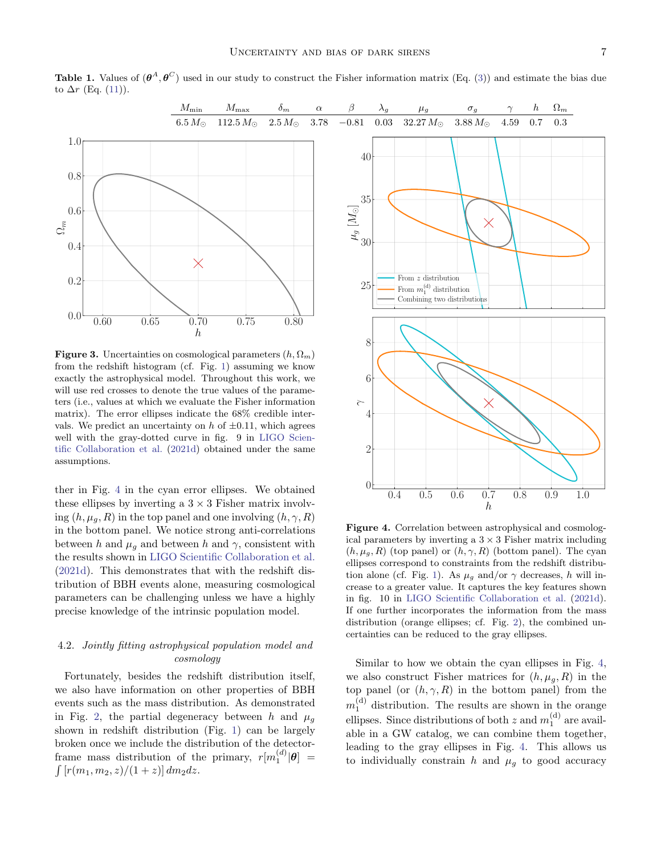

<span id="page-6-0"></span>**Table 1.** Values of  $(\theta^A, \theta^C)$  used in our study to construct the Fisher information matrix (Eq. [\(3\)](#page-3-1)) and estimate the bias due to  $\Delta r$  (Eq. [\(11\)](#page-4-1)).

<span id="page-6-1"></span>**Figure 3.** Uncertainties on cosmological parameters  $(h, \Omega_m)$ from the redshift histogram (cf. Fig. [1\)](#page-2-1) assuming we know exactly the astrophysical model. Throughout this work, we will use red crosses to denote the true values of the parameters (i.e., values at which we evaluate the Fisher information matrix). The error ellipses indicate the 68% credible intervals. We predict an uncertainty on  $h$  of  $\pm 0.11$ , which agrees well with the gray-dotted curve in fig. 9 in [LIGO Scien](#page-13-24)[tific Collaboration et al.](#page-13-24) [\(2021d\)](#page-13-24) obtained under the same assumptions.

ther in Fig. [4](#page-6-2) in the cyan error ellipses. We obtained these ellipses by inverting a  $3 \times 3$  Fisher matrix involving  $(h, \mu_q, R)$  in the top panel and one involving  $(h, \gamma, R)$ in the bottom panel. We notice strong anti-correlations between h and  $\mu_g$  and between h and  $\gamma$ , consistent with the results shown in [LIGO Scientific Collaboration et al.](#page-13-24) [\(2021d\)](#page-13-24). This demonstrates that with the redshift distribution of BBH events alone, measuring cosmological parameters can be challenging unless we have a highly precise knowledge of the intrinsic population model.

# 4.2. Jointly fitting astrophysical population model and cosmology

Fortunately, besides the redshift distribution itself, we also have information on other properties of BBH events such as the mass distribution. As demonstrated in Fig. [2,](#page-3-0) the partial degeneracy between h and  $\mu_q$ shown in redshift distribution (Fig. [1\)](#page-2-1) can be largely broken once we include the distribution of the detectorframe mass distribution of the primary,  $r[m_1^{(d)}|\boldsymbol{\theta}] =$  $\int [r(m_1, m_2, z)/(1 + z)] dm_2 dz.$ 



<span id="page-6-2"></span>Figure 4. Correlation between astrophysical and cosmological parameters by inverting a  $3 \times 3$  Fisher matrix including  $(h, \mu_g, R)$  (top panel) or  $(h, \gamma, R)$  (bottom panel). The cyan ellipses correspond to constraints from the redshift distribu-tion alone (cf. Fig. [1\)](#page-2-1). As  $\mu_g$  and/or  $\gamma$  decreases, h will increase to a greater value. It captures the key features shown in fig. 10 in [LIGO Scientific Collaboration et al.](#page-13-24) [\(2021d\)](#page-13-24). If one further incorporates the information from the mass distribution (orange ellipses; cf. Fig. [2\)](#page-3-0), the combined uncertainties can be reduced to the gray ellipses.

Similar to how we obtain the cyan ellipses in Fig. [4,](#page-6-2) we also construct Fisher matrices for  $(h, \mu_g, R)$  in the top panel (or  $(h, \gamma, R)$  in the bottom panel) from the  $m_1^{\text{(d)}}$  distribution. The results are shown in the orange ellipses. Since distributions of both z and  $m_1^{(d)}$  are available in a GW catalog, we can combine them together, leading to the gray ellipses in Fig. [4.](#page-6-2) This allows us to individually constrain h and  $\mu<sub>g</sub>$  to good accuracy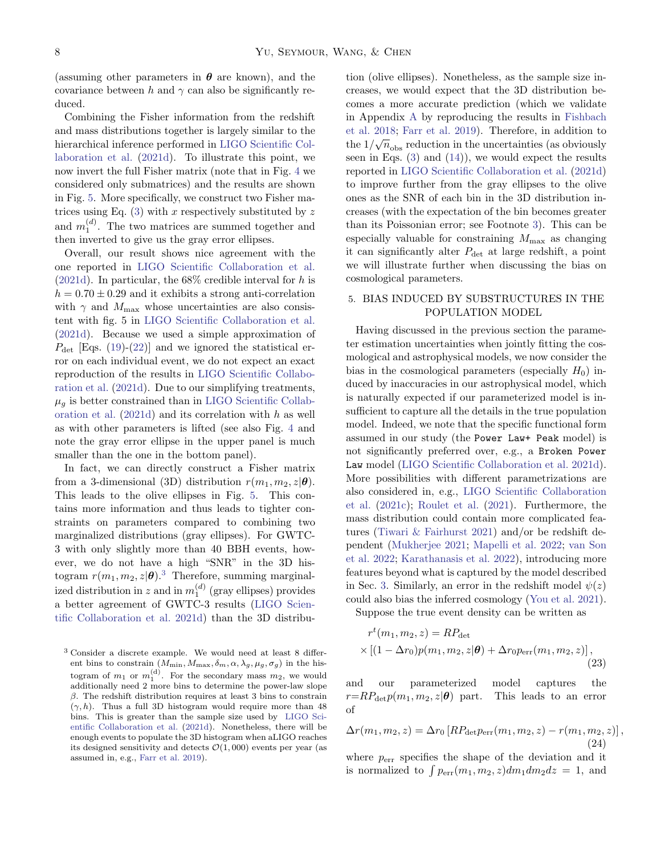(assuming other parameters in  $\theta$  are known), and the covariance between h and  $\gamma$  can also be significantly reduced.

Combining the Fisher information from the redshift and mass distributions together is largely similar to the hierarchical inference performed in [LIGO Scientific Col](#page-13-24)[laboration et al.](#page-13-24) [\(2021d\)](#page-13-24). To illustrate this point, we now invert the full Fisher matrix (note that in Fig. [4](#page-6-2) we considered only submatrices) and the results are shown in Fig. [5.](#page-8-0) More specifically, we construct two Fisher matrices using Eq.  $(3)$  with x respectively substituted by z and  $m_1^{(d)}$ . The two matrices are summed together and then inverted to give us the gray error ellipses.

Overall, our result shows nice agreement with the one reported in [LIGO Scientific Collaboration et al.](#page-13-24) [\(2021d\)](#page-13-24). In particular, the  $68\%$  credible interval for h is  $h = 0.70 \pm 0.29$  and it exhibits a strong anti-correlation with  $\gamma$  and  $M_{\text{max}}$  whose uncertainties are also consistent with fig. 5 in [LIGO Scientific Collaboration et al.](#page-13-24) [\(2021d\)](#page-13-24). Because we used a simple approximation of  $P_{\text{det}}$  [Eqs. [\(19\)](#page-5-3)-[\(22\)](#page-5-2)] and we ignored the statistical error on each individual event, we do not expect an exact reproduction of the results in [LIGO Scientific Collabo](#page-13-24)[ration et al.](#page-13-24) [\(2021d\)](#page-13-24). Due to our simplifying treatments,  $\mu_q$  is better constrained than in [LIGO Scientific Collab](#page-13-24)[oration et al.](#page-13-24)  $(2021d)$  and its correlation with h as well as with other parameters is lifted (see also Fig. [4](#page-6-2) and note the gray error ellipse in the upper panel is much smaller than the one in the bottom panel).

In fact, we can directly construct a Fisher matrix from a 3-dimensional (3D) distribution  $r(m_1, m_2, z|\theta)$ . This leads to the olive ellipses in Fig. [5.](#page-8-0) This contains more information and thus leads to tighter constraints on parameters compared to combining two marginalized distributions (gray ellipses). For GWTC-3 with only slightly more than 40 BBH events, however, we do not have a high "SNR" in the 3D histogram  $r(m_1, m_2, z|\boldsymbol{\theta})$ .<sup>[3](#page-7-1)</sup> Therefore, summing marginalized distribution in z and in  $m_1^{(d)}$  (gray ellipses) provides a better agreement of GWTC-3 results [\(LIGO Scien](#page-13-24)[tific Collaboration et al.](#page-13-24) [2021d\)](#page-13-24) than the 3D distribution (olive ellipses). Nonetheless, as the sample size increases, we would expect that the 3D distribution becomes a more accurate prediction (which we validate in Appendix [A](#page-11-4) by reproducing the results in [Fishbach](#page-12-7) [et al.](#page-12-7) [2018;](#page-12-7) [Farr et al.](#page-12-6) [2019\)](#page-12-6). Therefore, in addition to the  $1/\sqrt{n_{\text{obs}}}$  reduction in the uncertainties (as obviously seen in Eqs.  $(3)$  and  $(14)$ , we would expect the results reported in [LIGO Scientific Collaboration et al.](#page-13-24) [\(2021d\)](#page-13-24) to improve further from the gray ellipses to the olive ones as the SNR of each bin in the 3D distribution increases (with the expectation of the bin becomes greater than its Poissonian error; see Footnote [3\)](#page-7-1). This can be especially valuable for constraining  $M_{\text{max}}$  as changing it can significantly alter  $P_{\text{det}}$  at large redshift, a point we will illustrate further when discussing the bias on cosmological parameters.

# <span id="page-7-0"></span>5. BIAS INDUCED BY SUBSTRUCTURES IN THE POPULATION MODEL

Having discussed in the previous section the parameter estimation uncertainties when jointly fitting the cosmological and astrophysical models, we now consider the bias in the cosmological parameters (especially  $H_0$ ) induced by inaccuracies in our astrophysical model, which is naturally expected if our parameterized model is insufficient to capture all the details in the true population model. Indeed, we note that the specific functional form assumed in our study (the Power Law+ Peak model) is not significantly preferred over, e.g., a Broken Power Law model [\(LIGO Scientific Collaboration et al.](#page-13-24) [2021d\)](#page-13-24). More possibilities with different parametrizations are also considered in, e.g., [LIGO Scientific Collaboration](#page-13-27) [et al.](#page-13-27) [\(2021c\)](#page-13-27); [Roulet et al.](#page-13-32) [\(2021\)](#page-13-32). Furthermore, the mass distribution could contain more complicated features [\(Tiwari & Fairhurst](#page-14-7) [2021\)](#page-14-7) and/or be redshift dependent [\(Mukherjee](#page-13-33) [2021;](#page-13-33) [Mapelli et al.](#page-13-34) [2022;](#page-13-34) [van Son](#page-14-8) [et al.](#page-14-8) [2022;](#page-14-8) [Karathanasis et al.](#page-13-35) [2022\)](#page-13-35), introducing more features beyond what is captured by the model described in Sec. [3.](#page-4-0) Similarly, an error in the redshift model  $\psi(z)$ could also bias the inferred cosmology [\(You et al.](#page-14-9) [2021\)](#page-14-9). Suppose the true event density can be written as

 $r^t(m_1, m_2, z) = RP_{\text{det}}$  $\times [(1 - \Delta r_0)p(m_1, m_2, z|\theta) + \Delta r_0 p_{\text{err}}(m_1, m_2, z)],$ (23)

<span id="page-7-2"></span>and our parameterized model captures the  $r=R P_{\det} p(m_1, m_2, z | \theta)$  part. This leads to an error of

$$
\Delta r(m_1, m_2, z) = \Delta r_0 \left[ R P_{\text{det}} p_{\text{err}}(m_1, m_2, z) - r(m_1, m_2, z) \right],
$$
\n(24)

where  $p_{\text{err}}$  specifies the shape of the deviation and it is normalized to  $\int p_{\text{err}}(m_1, m_2, z) dm_1 dm_2 dz = 1$ , and

<span id="page-7-1"></span><sup>3</sup> Consider a discrete example. We would need at least 8 different bins to constrain  $(M_{\min}, M_{\max}, \delta_m, \alpha, \lambda_g, \mu_g, \sigma_g)$  in the histogram of  $m_1$  or  $m_1^{(d)}$ . For the secondary mass  $m_2$ , we would additionally need 2 more bins to determine the power-law slope  $β$ . The redshift distribution requires at least 3 bins to constrain  $(\gamma, h)$ . Thus a full 3D histogram would require more than 48 bins. This is greater than the sample size used by [LIGO Sci](#page-13-24)[entific Collaboration et al.](#page-13-24) [\(2021d\)](#page-13-24). Nonetheless, there will be enough events to populate the 3D histogram when aLIGO reaches its designed sensitivity and detects  $\mathcal{O}(1,000)$  events per year (as assumed in, e.g., [Farr et al.](#page-12-6) [2019\)](#page-12-6).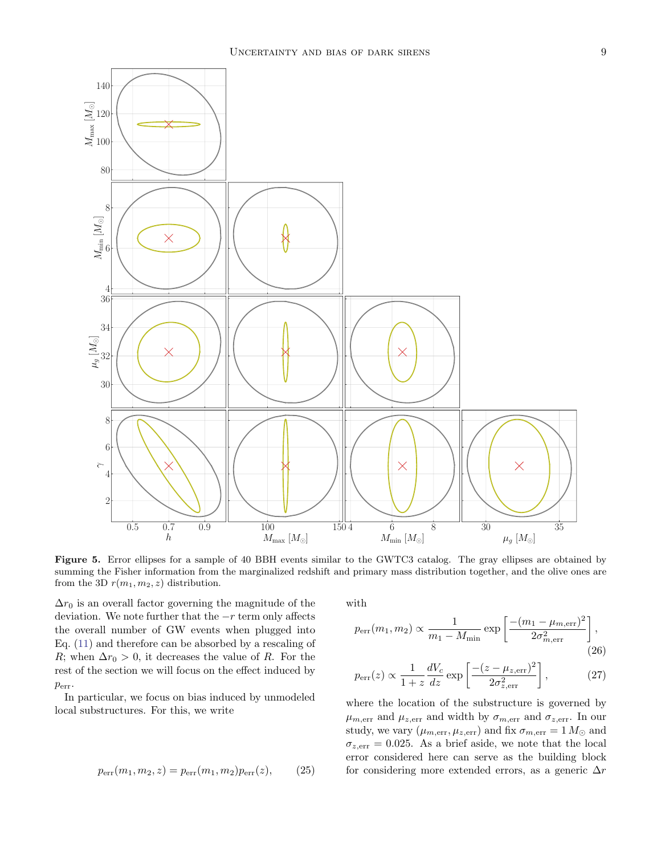

<span id="page-8-0"></span>Figure 5. Error ellipses for a sample of 40 BBH events similar to the GWTC3 catalog. The gray ellipses are obtained by summing the Fisher information from the marginalized redshift and primary mass distribution together, and the olive ones are from the 3D  $r(m_1, m_2, z)$  distribution.

 $\Delta r_0$  is an overall factor governing the magnitude of the deviation. We note further that the  $-r$  term only affects the overall number of GW events when plugged into Eq. [\(11\)](#page-4-1) and therefore can be absorbed by a rescaling of R; when  $\Delta r_0 > 0$ , it decreases the value of R. For the rest of the section we will focus on the effect induced by perr.

In particular, we focus on bias induced by unmodeled local substructures. For this, we write

$$
p_{\rm err}(m_1, m_2, z) = p_{\rm err}(m_1, m_2)p_{\rm err}(z), \qquad (25)
$$

with

$$
p_{\text{err}}(m_1, m_2) \propto \frac{1}{m_1 - M_{\text{min}}} \exp\left[\frac{-(m_1 - \mu_{m,\text{err}})^2}{2\sigma_{m,\text{err}}^2}\right],
$$
 (26)

<span id="page-8-2"></span>
$$
p_{\rm err}(z) \propto \frac{1}{1+z} \frac{dV_c}{dz} \exp\left[\frac{-(z-\mu_{z,\rm err})^2}{2\sigma_{z,\rm err}^2}\right],\tag{27}
$$

<span id="page-8-1"></span>where the location of the substructure is governed by  $\mu_{m,\text{err}}$  and  $\mu_{z,\text{err}}$  and width by  $\sigma_{m,\text{err}}$  and  $\sigma_{z,\text{err}}$ . In our study, we vary  $(\mu_{m,\text{err}}, \mu_{z,\text{err}})$  and fix  $\sigma_{m,\text{err}} = 1 M_{\odot}$  and  $\sigma_{z,err} = 0.025$ . As a brief aside, we note that the local error considered here can serve as the building block for considering more extended errors, as a generic  $\Delta r$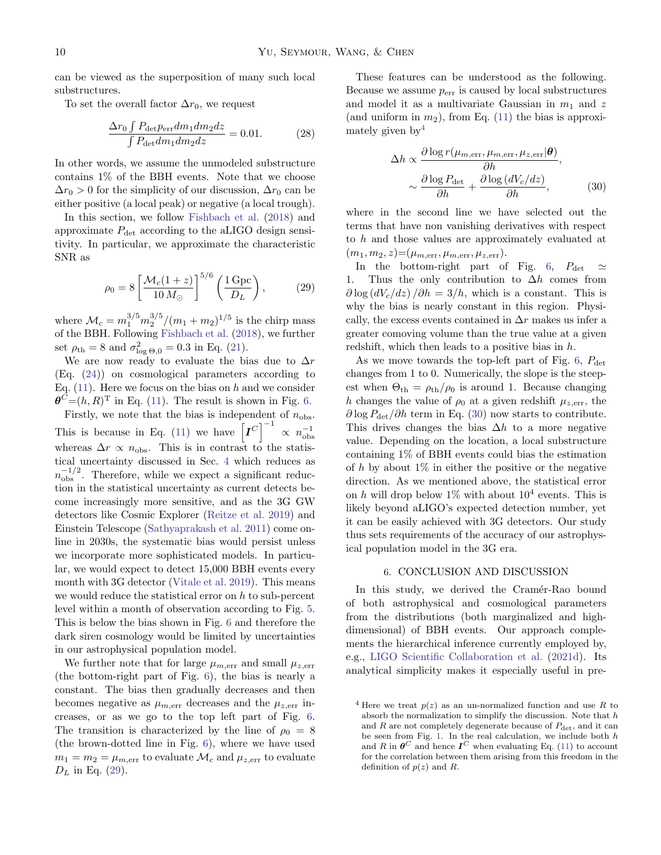can be viewed as the superposition of many such local substructures.

To set the overall factor  $\Delta r_0$ , we request

$$
\frac{\Delta r_0 \int P_{\text{det}} p_{\text{err}} dm_1 dm_2 dz}{\int P_{\text{det}} dm_1 dm_2 dz} = 0.01. \tag{28}
$$

In other words, we assume the unmodeled substructure contains 1% of the BBH events. Note that we choose  $\Delta r_0 > 0$  for the simplicity of our discussion,  $\Delta r_0$  can be either positive (a local peak) or negative (a local trough).

In this section, we follow [Fishbach et al.](#page-12-7) [\(2018\)](#page-12-7) and approximate  $P_{\text{det}}$  according to the aLIGO design sensitivity. In particular, we approximate the characteristic SNR as

<span id="page-9-1"></span>
$$
\rho_0 = 8 \left[ \frac{\mathcal{M}_c (1+z)}{10 \, M_\odot} \right]^{5/6} \left( \frac{1 \, \text{Gpc}}{D_L} \right),\tag{29}
$$

where  $\mathcal{M}_c = m_1^{3/5} m_2^{3/5} / (m_1 + m_2)^{1/5}$  is the chirp mass of the BBH. Following [Fishbach et al.](#page-12-7) [\(2018\)](#page-12-7), we further set  $\rho_{\text{th}} = 8$  and  $\sigma_{\log \Theta,0}^2 = 0.3$  in Eq. [\(21\)](#page-5-4).

We are now ready to evaluate the bias due to  $\Delta r$ (Eq. [\(24\)](#page-7-2)) on cosmological parameters according to Eq.  $(11)$ . Here we focus on the bias on h and we consider  $\boldsymbol{\theta}^C = (h, R)^{\mathrm{T}}$  in Eq. [\(11\)](#page-4-1). The result is shown in Fig. [6.](#page-10-0)

Firstly, we note that the bias is independent of  $n_{\text{obs}}$ . This is because in Eq. [\(11\)](#page-4-1) we have  $\left[I^C\right]^{-1} \propto n_{\text{obs}}^{-1}$ whereas  $\Delta r \propto n_{\rm obs}$ . This is in contrast to the statistical uncertainty discussed in Sec. [4](#page-5-0) which reduces as  $n_{\text{obs}}^{-1/2}$ . Therefore, while we expect a significant reduction in the statistical uncertainty as current detects become increasingly more sensitive, and as the 3G GW detectors like Cosmic Explorer [\(Reitze et al.](#page-13-10) [2019\)](#page-13-10) and Einstein Telescope [\(Sathyaprakash et al.](#page-13-9) [2011\)](#page-13-9) come online in 2030s, the systematic bias would persist unless we incorporate more sophisticated models. In particular, we would expect to detect 15,000 BBH events every month with 3G detector [\(Vitale et al.](#page-14-10) [2019\)](#page-14-10). This means we would reduce the statistical error on  $h$  to sub-percent level within a month of observation according to Fig. [5.](#page-8-0) This is below the bias shown in Fig. [6](#page-10-0) and therefore the dark siren cosmology would be limited by uncertainties in our astrophysical population model.

We further note that for large  $\mu_{m,\text{err}}$  and small  $\mu_{z,\text{err}}$ (the bottom-right part of Fig. [6\)](#page-10-0), the bias is nearly a constant. The bias then gradually decreases and then becomes negative as  $\mu_{m,\text{err}}$  decreases and the  $\mu_{z,\text{err}}$  increases, or as we go to the top left part of Fig. [6.](#page-10-0) The transition is characterized by the line of  $\rho_0 = 8$ (the brown-dotted line in Fig. [6\)](#page-10-0), where we have used  $m_1 = m_2 = \mu_{m,\text{err}}$  to evaluate  $\mathcal{M}_c$  and  $\mu_{z,\text{err}}$  to evaluate  $D_L$  in Eq. [\(29\)](#page-9-1).

These features can be understood as the following. Because we assume  $p_{err}$  is caused by local substructures and model it as a multivariate Gaussian in  $m_1$  and z (and uniform in  $m_2$ ), from Eq. [\(11\)](#page-4-1) the bias is approximately given by  $4\overline{ }$  $4\overline{ }$ 

<span id="page-9-3"></span>
$$
\Delta h \propto \frac{\partial \log r(\mu_{m,\text{err}}, \mu_{m,\text{err}}, \mu_{z,\text{err}}|\boldsymbol{\theta})}{\partial h},
$$

$$
\sim \frac{\partial \log P_{\text{det}}}{\partial h} + \frac{\partial \log (dV_c/dz)}{\partial h},
$$
(30)

where in the second line we have selected out the terms that have non vanishing derivatives with respect to h and those values are approximately evaluated at  $(m_1, m_2, z) = (\mu_{m, \text{err}}, \mu_{m, \text{err}}, \mu_{z, \text{err}}).$ 

In the bottom-right part of Fig. [6,](#page-10-0)  $P_{\text{det}} \approx$ 1. Thus the only contribution to  $\Delta h$  comes from  $\partial \log (dV_c/dz)/\partial h = 3/h$ , which is a constant. This is why the bias is nearly constant in this region. Physically, the excess events contained in  $\Delta r$  makes us infer a greater comoving volume than the true value at a given redshift, which then leads to a positive bias in h.

As we move towards the top-left part of Fig. [6,](#page-10-0)  $P_{\text{det}}$ changes from 1 to 0. Numerically, the slope is the steepest when  $\Theta_{\text{th}} = \rho_{\text{th}}/\rho_0$  is around 1. Because changing h changes the value of  $\rho_0$  at a given redshift  $\mu_{z,err}$ , the  $\partial \log P_{\rm det}/\partial h$  term in Eq. [\(30\)](#page-9-3) now starts to contribute. This drives changes the bias  $\Delta h$  to a more negative value. Depending on the location, a local substructure containing 1% of BBH events could bias the estimation of h by about  $1\%$  in either the positive or the negative direction. As we mentioned above, the statistical error on h will drop below  $1\%$  with about  $10^4$  events. This is likely beyond aLIGO's expected detection number, yet it can be easily achieved with 3G detectors. Our study thus sets requirements of the accuracy of our astrophysical population model in the 3G era.

#### 6. CONCLUSION AND DISCUSSION

<span id="page-9-0"></span>In this study, we derived the Cramér-Rao bound of both astrophysical and cosmological parameters from the distributions (both marginalized and highdimensional) of BBH events. Our approach complements the hierarchical inference currently employed by, e.g., [LIGO Scientific Collaboration et al.](#page-13-24) [\(2021d\)](#page-13-24). Its analytical simplicity makes it especially useful in pre-

<span id="page-9-2"></span><sup>&</sup>lt;sup>4</sup> Here we treat  $p(z)$  as an un-normalized function and use R to absorb the normalization to simplify the discussion. Note that  $h$ and  $R$  are not completely degenerate because of  $P_{\text{det}}$ , and it can be seen from Fig. [1.](#page-2-1) In the real calculation, we include both  $h$ and R in  $\boldsymbol{\theta}^C$  and hence  $\boldsymbol{I}^C$  when evaluating Eq. [\(11\)](#page-4-1) to account for the correlation between them arising from this freedom in the definition of  $p(z)$  and R.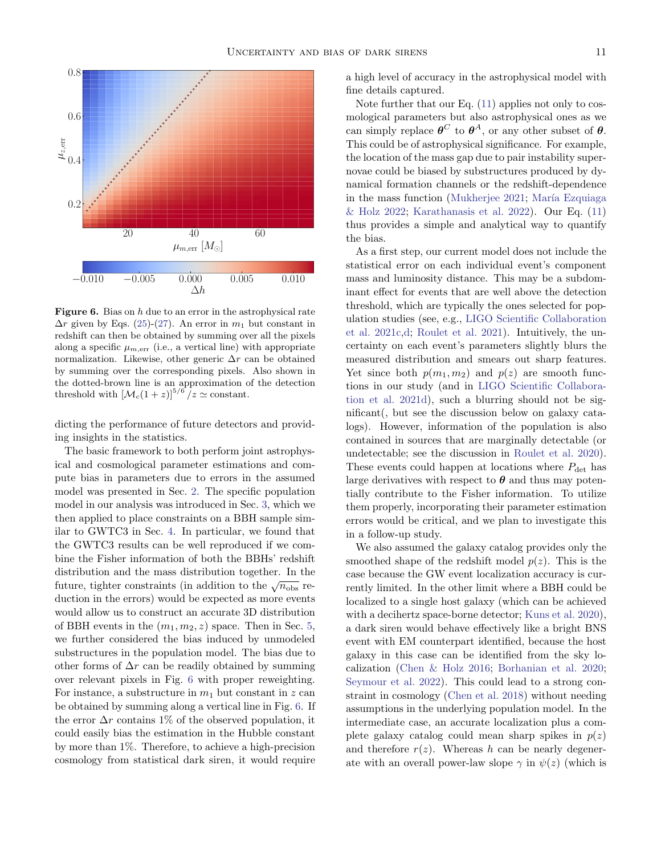

<span id="page-10-0"></span>**Figure 6.** Bias on  $h$  due to an error in the astrophysical rate  $\Delta r$  given by Eqs. [\(25\)](#page-8-1)-[\(27\)](#page-8-2). An error in  $m_1$  but constant in redshift can then be obtained by summing over all the pixels along a specific  $\mu_{m,err}$  (i.e., a vertical line) with appropriate normalization. Likewise, other generic  $\Delta r$  can be obtained by summing over the corresponding pixels. Also shown in the dotted-brown line is an approximation of the detection threshold with  $\left[\mathcal{M}_c(1+z)\right]^{5/6}/z \simeq \text{constant}.$ 

dicting the performance of future detectors and providing insights in the statistics.

The basic framework to both perform joint astrophysical and cosmological parameter estimations and compute bias in parameters due to errors in the assumed model was presented in Sec. [2.](#page-2-0) The specific population model in our analysis was introduced in Sec. [3,](#page-4-0) which we then applied to place constraints on a BBH sample similar to GWTC3 in Sec. [4.](#page-5-0) In particular, we found that the GWTC3 results can be well reproduced if we combine the Fisher information of both the BBHs' redshift distribution and the mass distribution together. In the future, tighter constraints (in addition to the  $\sqrt{n_{\text{obs}}}$  reduction in the errors) would be expected as more events would allow us to construct an accurate 3D distribution of BBH events in the  $(m_1, m_2, z)$  space. Then in Sec. [5,](#page-7-0) we further considered the bias induced by unmodeled substructures in the population model. The bias due to other forms of  $\Delta r$  can be readily obtained by summing over relevant pixels in Fig. [6](#page-10-0) with proper reweighting. For instance, a substructure in  $m_1$  but constant in z can be obtained by summing along a vertical line in Fig. [6.](#page-10-0) If the error  $\Delta r$  contains 1% of the observed population, it could easily bias the estimation in the Hubble constant by more than 1%. Therefore, to achieve a high-precision cosmology from statistical dark siren, it would require

a high level of accuracy in the astrophysical model with fine details captured.

Note further that our Eq. [\(11\)](#page-4-1) applies not only to cosmological parameters but also astrophysical ones as we can simply replace  $\boldsymbol{\theta}^C$  to  $\boldsymbol{\theta}^A$ , or any other subset of  $\boldsymbol{\theta}$ . This could be of astrophysical significance. For example, the location of the mass gap due to pair instability supernovae could be biased by substructures produced by dynamical formation channels or the redshift-dependence in the mass function [\(Mukherjee](#page-13-33) [2021;](#page-13-33) María Ezquiaga [& Holz](#page-13-25) [2022;](#page-13-25) [Karathanasis et al.](#page-13-35) [2022\)](#page-13-35). Our Eq. [\(11\)](#page-4-1) thus provides a simple and analytical way to quantify the bias.

As a first step, our current model does not include the statistical error on each individual event's component mass and luminosity distance. This may be a subdominant effect for events that are well above the detection threshold, which are typically the ones selected for population studies (see, e.g., [LIGO Scientific Collaboration](#page-13-27) [et al.](#page-13-27) [2021c,](#page-13-27)[d;](#page-13-24) [Roulet et al.](#page-13-32) [2021\)](#page-13-32). Intuitively, the uncertainty on each event's parameters slightly blurs the measured distribution and smears out sharp features. Yet since both  $p(m_1, m_2)$  and  $p(z)$  are smooth functions in our study (and in [LIGO Scientific Collabora](#page-13-24)[tion et al.](#page-13-24) [2021d\)](#page-13-24), such a blurring should not be significant(, but see the discussion below on galaxy catalogs). However, information of the population is also contained in sources that are marginally detectable (or undetectable; see the discussion in [Roulet et al.](#page-13-36) [2020\)](#page-13-36). These events could happen at locations where  $P_{\text{det}}$  has large derivatives with respect to  $\theta$  and thus may potentially contribute to the Fisher information. To utilize them properly, incorporating their parameter estimation errors would be critical, and we plan to investigate this in a follow-up study.

We also assumed the galaxy catalog provides only the smoothed shape of the redshift model  $p(z)$ . This is the case because the GW event localization accuracy is currently limited. In the other limit where a BBH could be localized to a single host galaxy (which can be achieved with a decihertz space-borne detector; [Kuns et al.](#page-13-37) [2020\)](#page-13-37), a dark siren would behave effectively like a bright BNS event with EM counterpart identified, because the host galaxy in this case can be identified from the sky localization [\(Chen & Holz](#page-12-8) [2016;](#page-12-8) [Borhanian et al.](#page-11-7) [2020;](#page-11-7) [Seymour et al.](#page-14-11) [2022\)](#page-14-11). This could lead to a strong constraint in cosmology [\(Chen et al.](#page-12-0) [2018\)](#page-12-0) without needing assumptions in the underlying population model. In the intermediate case, an accurate localization plus a complete galaxy catalog could mean sharp spikes in  $p(z)$ and therefore  $r(z)$ . Whereas h can be nearly degenerate with an overall power-law slope  $\gamma$  in  $\psi(z)$  (which is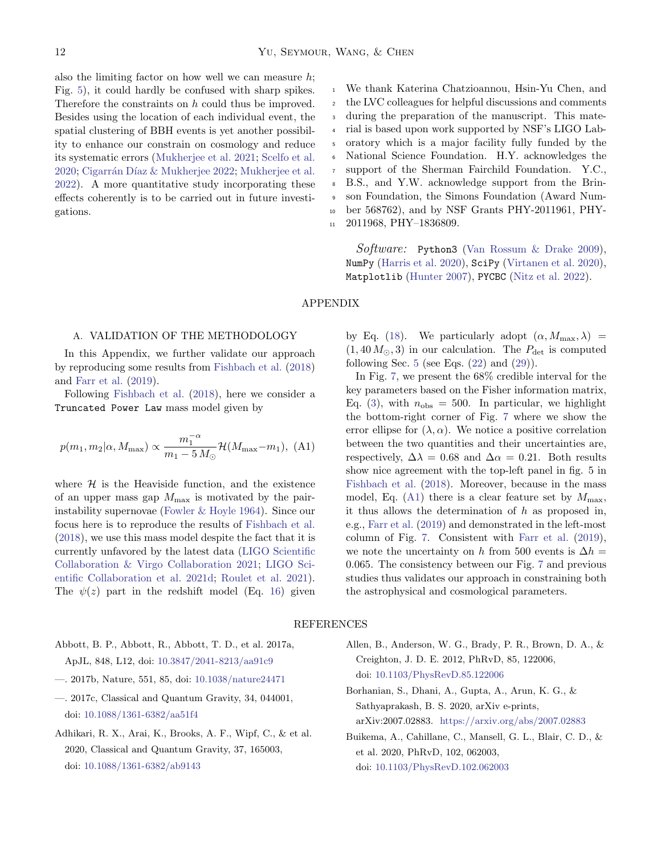also the limiting factor on how well we can measure  $h$ ; Fig. [5\)](#page-8-0), it could hardly be confused with sharp spikes. Therefore the constraints on h could thus be improved. Besides using the location of each individual event, the spatial clustering of BBH events is yet another possibility to enhance our constrain on cosmology and reduce its systematic errors [\(Mukherjee et al.](#page-13-38) [2021;](#page-13-38) [Scelfo et al.](#page-13-39) [2020;](#page-13-39) Cigarrán Díaz & Mukherjee [2022;](#page-12-9) [Mukherjee et al.](#page-13-40) [2022\)](#page-13-40). A more quantitative study incorporating these effects coherently is to be carried out in future investigations.

We thank Katerina Chatzioannou, Hsin-Yu Chen, and the LVC colleagues for helpful discussions and comments during the preparation of the manuscript. This material is based upon work supported by NSF's LIGO Laboratory which is a major facility fully funded by the National Science Foundation. H.Y. acknowledges the support of the Sherman Fairchild Foundation. Y.C., B.S., and Y.W. acknowledge support from the Brinson Foundation, the Simons Foundation (Award Number 568762), and by NSF Grants PHY-2011961, PHY-2011968, PHY–1836809. 1  $\overline{2}$ 3 4 5 6 7 8  $\ddot{q}$ 10 11

Software: Python3 [\(Van Rossum & Drake](#page-14-12) [2009\)](#page-14-12), NumPy [\(Harris et al.](#page-13-41) [2020\)](#page-13-41), SciPy [\(Virtanen et al.](#page-14-13) [2020\)](#page-14-13), Matplotlib [\(Hunter](#page-13-42) [2007\)](#page-13-42), PYCBC [\(Nitz et al.](#page-13-31) [2022\)](#page-13-31).

# APPENDIX

## <span id="page-11-4"></span>A. VALIDATION OF THE METHODOLOGY

In this Appendix, we further validate our approach by reproducing some results from [Fishbach et al.](#page-12-7) [\(2018\)](#page-12-7) and [Farr et al.](#page-12-6) [\(2019\)](#page-12-6).

Following [Fishbach et al.](#page-12-7) [\(2018\)](#page-12-7), here we consider a Truncated Power Law mass model given by

$$
p(m_1, m_2 | \alpha, M_{\text{max}}) \propto \frac{m_1^{-\alpha}}{m_1 - 5 M_{\odot}} \mathcal{H}(M_{\text{max}} - m_1),
$$
 (A1)

where  $\mathcal H$  is the Heaviside function, and the existence of an upper mass gap  $M_{\text{max}}$  is motivated by the pairinstability supernovae [\(Fowler & Hoyle](#page-13-43) [1964\)](#page-13-43). Since our focus here is to reproduce the results of [Fishbach et al.](#page-12-7) [\(2018\)](#page-12-7), we use this mass model despite the fact that it is currently unfavored by the latest data [\(LIGO Scientific](#page-13-28) [Collaboration & Virgo Collaboration](#page-13-28) [2021;](#page-13-28) [LIGO Sci](#page-13-24)[entific Collaboration et al.](#page-13-24) [2021d;](#page-13-24) [Roulet et al.](#page-13-32) [2021\)](#page-13-32). The  $\psi(z)$  part in the redshift model (Eq. [16\)](#page-4-4) given

by Eq. [\(18\)](#page-4-2). We particularly adopt  $(\alpha, M_{\text{max}}, \lambda)$  =  $(1, 40 M_{\odot}, 3)$  in our calculation. The  $P_{\text{det}}$  is computed following Sec. [5](#page-7-0) (see Eqs.  $(22)$  and  $(29)$ ).

<span id="page-11-8"></span>In Fig. [7,](#page-12-10) we present the 68% credible interval for the key parameters based on the Fisher information matrix, Eq. [\(3\)](#page-3-1), with  $n_{\text{obs}} = 500$ . In particular, we highlight the bottom-right corner of Fig. [7](#page-12-10) where we show the error ellipse for  $(\lambda, \alpha)$ . We notice a positive correlation between the two quantities and their uncertainties are, respectively,  $\Delta \lambda = 0.68$  and  $\Delta \alpha = 0.21$ . Both results show nice agreement with the top-left panel in fig. 5 in [Fishbach et al.](#page-12-7) [\(2018\)](#page-12-7). Moreover, because in the mass model, Eq. [\(A1\)](#page-11-8) there is a clear feature set by  $M_{\text{max}}$ , it thus allows the determination of  $h$  as proposed in, e.g., [Farr et al.](#page-12-6) [\(2019\)](#page-12-6) and demonstrated in the left-most column of Fig. [7.](#page-12-10) Consistent with [Farr et al.](#page-12-6) [\(2019\)](#page-12-6), we note the uncertainty on h from 500 events is  $\Delta h =$ 0.065. The consistency between our Fig. [7](#page-12-10) and previous studies thus validates our approach in constraining both the astrophysical and cosmological parameters.

## REFERENCES

- <span id="page-11-0"></span>Abbott, B. P., Abbott, R., Abbott, T. D., et al. 2017a, ApJL, 848, L12, doi: [10.3847/2041-8213/aa91c9](http://doi.org/10.3847/2041-8213/aa91c9)
- <span id="page-11-1"></span>—. 2017b, Nature, 551, 85, doi: [10.1038/nature24471](http://doi.org/10.1038/nature24471)
- <span id="page-11-3"></span>—. 2017c, Classical and Quantum Gravity, 34, 044001, doi: [10.1088/1361-6382/aa51f4](http://doi.org/10.1088/1361-6382/aa51f4)
- <span id="page-11-2"></span>Adhikari, R. X., Arai, K., Brooks, A. F., Wipf, C., & et al. 2020, Classical and Quantum Gravity, 37, 165003, doi: [10.1088/1361-6382/ab9143](http://doi.org/10.1088/1361-6382/ab9143)
- <span id="page-11-6"></span>Allen, B., Anderson, W. G., Brady, P. R., Brown, D. A., & Creighton, J. D. E. 2012, PhRvD, 85, 122006, doi: [10.1103/PhysRevD.85.122006](http://doi.org/10.1103/PhysRevD.85.122006)
- <span id="page-11-7"></span>Borhanian, S., Dhani, A., Gupta, A., Arun, K. G., & Sathyaprakash, B. S. 2020, arXiv e-prints, arXiv:2007.02883. <https://arxiv.org/abs/2007.02883>
- <span id="page-11-5"></span>Buikema, A., Cahillane, C., Mansell, G. L., Blair, C. D., & et al. 2020, PhRvD, 102, 062003, doi: [10.1103/PhysRevD.102.062003](http://doi.org/10.1103/PhysRevD.102.062003)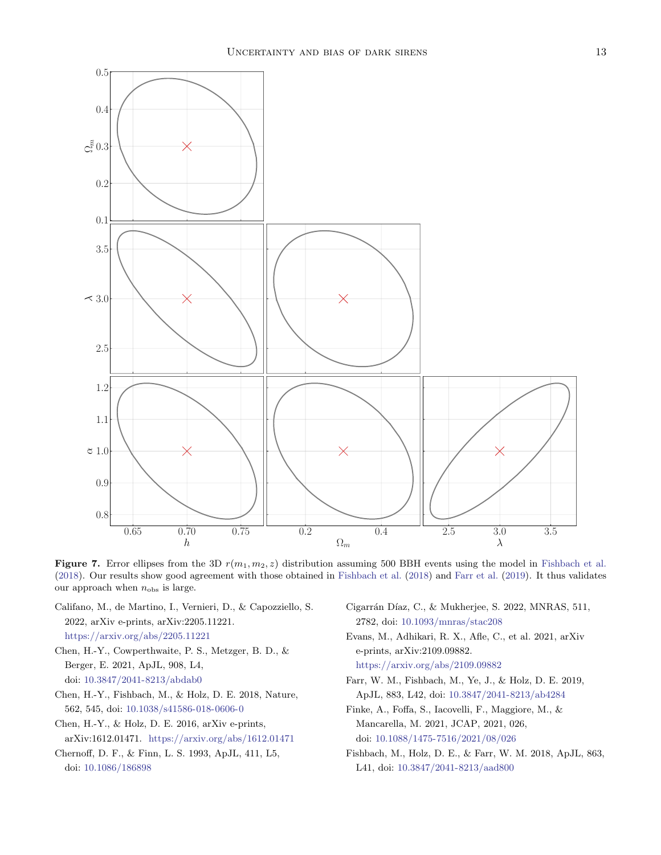

<span id="page-12-10"></span>Figure 7. Error ellipses from the 3D  $r(m_1, m_2, z)$  distribution assuming 500 BBH events using the model in [Fishbach et al.](#page-12-7) [\(2018\)](#page-12-7). Our results show good agreement with those obtained in [Fishbach et al.](#page-12-7) [\(2018\)](#page-12-7) and [Farr et al.](#page-12-6) [\(2019\)](#page-12-6). It thus validates our approach when  $n_{\text{obs}}$  is large.

- <span id="page-12-3"></span>Califano, M., de Martino, I., Vernieri, D., & Capozziello, S. 2022, arXiv e-prints, arXiv:2205.11221. <https://arxiv.org/abs/2205.11221>
- <span id="page-12-2"></span>Chen, H.-Y., Cowperthwaite, P. S., Metzger, B. D., & Berger, E. 2021, ApJL, 908, L4, doi: [10.3847/2041-8213/abdab0](http://doi.org/10.3847/2041-8213/abdab0)
- <span id="page-12-0"></span>Chen, H.-Y., Fishbach, M., & Holz, D. E. 2018, Nature, 562, 545, doi: [10.1038/s41586-018-0606-0](http://doi.org/10.1038/s41586-018-0606-0)
- <span id="page-12-8"></span>Chen, H.-Y., & Holz, D. E. 2016, arXiv e-prints, arXiv:1612.01471. <https://arxiv.org/abs/1612.01471>
- <span id="page-12-5"></span>Chernoff, D. F., & Finn, L. S. 1993, ApJL, 411, L5, doi: [10.1086/186898](http://doi.org/10.1086/186898)
- <span id="page-12-9"></span>Cigarrán Díaz, C., & Mukherjee, S. 2022, MNRAS, 511, 2782, doi: [10.1093/mnras/stac208](http://doi.org/10.1093/mnras/stac208)
- <span id="page-12-1"></span>Evans, M., Adhikari, R. X., Afle, C., et al. 2021, arXiv e-prints, arXiv:2109.09882.

<https://arxiv.org/abs/2109.09882>

- <span id="page-12-6"></span>Farr, W. M., Fishbach, M., Ye, J., & Holz, D. E. 2019, ApJL, 883, L42, doi: [10.3847/2041-8213/ab4284](http://doi.org/10.3847/2041-8213/ab4284)
- <span id="page-12-4"></span>Finke, A., Foffa, S., Iacovelli, F., Maggiore, M., & Mancarella, M. 2021, JCAP, 2021, 026, doi: [10.1088/1475-7516/2021/08/026](http://doi.org/10.1088/1475-7516/2021/08/026)
- <span id="page-12-7"></span>Fishbach, M., Holz, D. E., & Farr, W. M. 2018, ApJL, 863, L41, doi: [10.3847/2041-8213/aad800](http://doi.org/10.3847/2041-8213/aad800)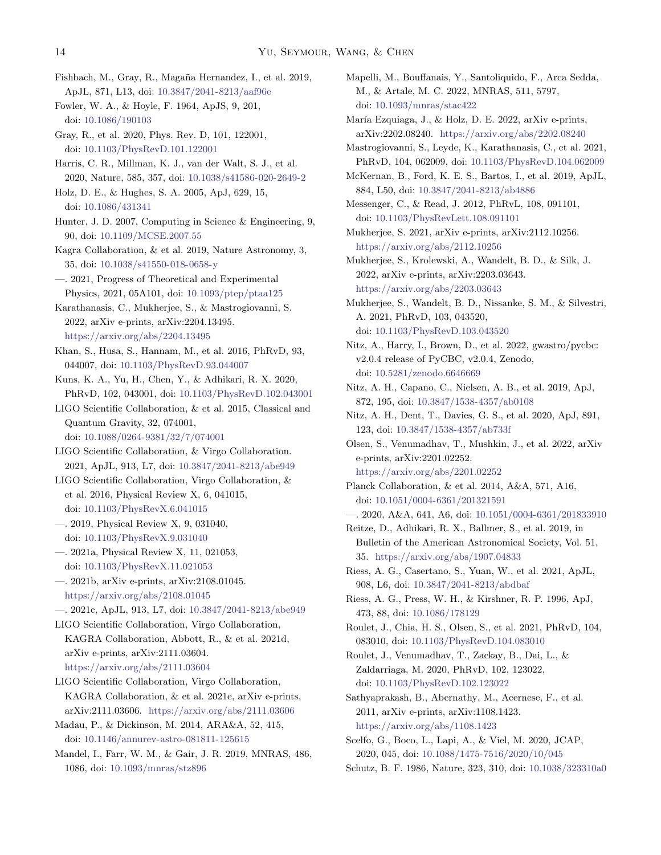- <span id="page-13-22"></span>Fishbach, M., Gray, R., Magaña Hernandez, I., et al. 2019, ApJL, 871, L13, doi: [10.3847/2041-8213/aaf96e](http://doi.org/10.3847/2041-8213/aaf96e)
- <span id="page-13-43"></span>Fowler, W. A., & Hoyle, F. 1964, ApJS, 9, 201, doi: [10.1086/190103](http://doi.org/10.1086/190103)
- <span id="page-13-19"></span>Gray, R., et al. 2020, Phys. Rev. D, 101, 122001, doi: [10.1103/PhysRevD.101.122001](http://doi.org/10.1103/PhysRevD.101.122001)
- <span id="page-13-41"></span>Harris, C. R., Millman, K. J., van der Walt, S. J., et al. 2020, Nature, 585, 357, doi: [10.1038/s41586-020-2649-2](http://doi.org/10.1038/s41586-020-2649-2)
- <span id="page-13-8"></span>Holz, D. E., & Hughes, S. A. 2005, ApJ, 629, 15, doi: [10.1086/431341](http://doi.org/10.1086/431341)
- <span id="page-13-42"></span>Hunter, J. D. 2007, Computing in Science & Engineering, 9, 90, doi: [10.1109/MCSE.2007.55](http://doi.org/10.1109/MCSE.2007.55)
- <span id="page-13-5"></span>Kagra Collaboration, & et al. 2019, Nature Astronomy, 3, 35, doi: [10.1038/s41550-018-0658-y](http://doi.org/10.1038/s41550-018-0658-y)
- <span id="page-13-6"></span>—. 2021, Progress of Theoretical and Experimental Physics, 2021, 05A101, doi: [10.1093/ptep/ptaa125](http://doi.org/10.1093/ptep/ptaa125)
- <span id="page-13-35"></span>Karathanasis, C., Mukherjee, S., & Mastrogiovanni, S. 2022, arXiv e-prints, arXiv:2204.13495. <https://arxiv.org/abs/2204.13495>
- <span id="page-13-30"></span>Khan, S., Husa, S., Hannam, M., et al. 2016, PhRvD, 93, 044007, doi: [10.1103/PhysRevD.93.044007](http://doi.org/10.1103/PhysRevD.93.044007)
- <span id="page-13-37"></span>Kuns, K. A., Yu, H., Chen, Y., & Adhikari, R. X. 2020, PhRvD, 102, 043001, doi: [10.1103/PhysRevD.102.043001](http://doi.org/10.1103/PhysRevD.102.043001)
- <span id="page-13-4"></span>LIGO Scientific Collaboration, & et al. 2015, Classical and Quantum Gravity, 32, 074001,
	- doi: [10.1088/0264-9381/32/7/074001](http://doi.org/10.1088/0264-9381/32/7/074001)
- <span id="page-13-28"></span>LIGO Scientific Collaboration, & Virgo Collaboration. 2021, ApJL, 913, L7, doi: [10.3847/2041-8213/abe949](http://doi.org/10.3847/2041-8213/abe949)
- <span id="page-13-12"></span>LIGO Scientific Collaboration, Virgo Collaboration, & et al. 2016, Physical Review X, 6, 041015, doi: [10.1103/PhysRevX.6.041015](http://doi.org/10.1103/PhysRevX.6.041015)
- <span id="page-13-13"></span>—. 2019, Physical Review X, 9, 031040, doi: [10.1103/PhysRevX.9.031040](http://doi.org/10.1103/PhysRevX.9.031040)
- <span id="page-13-14"></span>—. 2021a, Physical Review X, 11, 021053, doi: [10.1103/PhysRevX.11.021053](http://doi.org/10.1103/PhysRevX.11.021053)
- <span id="page-13-15"></span>—. 2021b, arXiv e-prints, arXiv:2108.01045. <https://arxiv.org/abs/2108.01045>
- <span id="page-13-27"></span>—. 2021c, ApJL, 913, L7, doi: [10.3847/2041-8213/abe949](http://doi.org/10.3847/2041-8213/abe949)
- <span id="page-13-24"></span>LIGO Scientific Collaboration, Virgo Collaboration, KAGRA Collaboration, Abbott, R., & et al. 2021d, arXiv e-prints, arXiv:2111.03604. <https://arxiv.org/abs/2111.03604>
- <span id="page-13-16"></span>LIGO Scientific Collaboration, Virgo Collaboration, KAGRA Collaboration, & et al. 2021e, arXiv e-prints, arXiv:2111.03606. <https://arxiv.org/abs/2111.03606>
- <span id="page-13-29"></span>Madau, P., & Dickinson, M. 2014, ARA&A, 52, 415, doi: [10.1146/annurev-astro-081811-125615](http://doi.org/10.1146/annurev-astro-081811-125615)
- <span id="page-13-26"></span>Mandel, I., Farr, W. M., & Gair, J. R. 2019, MNRAS, 486, 1086, doi: [10.1093/mnras/stz896](http://doi.org/10.1093/mnras/stz896)
- <span id="page-13-34"></span>Mapelli, M., Bouffanais, Y., Santoliquido, F., Arca Sedda, M., & Artale, M. C. 2022, MNRAS, 511, 5797, doi: [10.1093/mnras/stac422](http://doi.org/10.1093/mnras/stac422)
- <span id="page-13-25"></span>María Ezquiaga, J., & Holz, D. E. 2022, arXiv e-prints, arXiv:2202.08240. <https://arxiv.org/abs/2202.08240>
- <span id="page-13-23"></span>Mastrogiovanni, S., Leyde, K., Karathanasis, C., et al. 2021, PhRvD, 104, 062009, doi: [10.1103/PhysRevD.104.062009](http://doi.org/10.1103/PhysRevD.104.062009)
- <span id="page-13-21"></span>McKernan, B., Ford, K. E. S., Bartos, I., et al. 2019, ApJL, 884, L50, doi: [10.3847/2041-8213/ab4886](http://doi.org/10.3847/2041-8213/ab4886)
- <span id="page-13-11"></span>Messenger, C., & Read, J. 2012, PhRvL, 108, 091101, doi: [10.1103/PhysRevLett.108.091101](http://doi.org/10.1103/PhysRevLett.108.091101)
- <span id="page-13-33"></span>Mukherjee, S. 2021, arXiv e-prints, arXiv:2112.10256. <https://arxiv.org/abs/2112.10256>
- <span id="page-13-40"></span>Mukherjee, S., Krolewski, A., Wandelt, B. D., & Silk, J. 2022, arXiv e-prints, arXiv:2203.03643. <https://arxiv.org/abs/2203.03643>
- <span id="page-13-38"></span>Mukherjee, S., Wandelt, B. D., Nissanke, S. M., & Silvestri, A. 2021, PhRvD, 103, 043520, doi: [10.1103/PhysRevD.103.043520](http://doi.org/10.1103/PhysRevD.103.043520)
- <span id="page-13-31"></span>Nitz, A., Harry, I., Brown, D., et al. 2022, gwastro/pycbc: v2.0.4 release of PyCBC, v2.0.4, Zenodo, doi: [10.5281/zenodo.6646669](http://doi.org/10.5281/zenodo.6646669)
- <span id="page-13-17"></span>Nitz, A. H., Capano, C., Nielsen, A. B., et al. 2019, ApJ, 872, 195, doi: [10.3847/1538-4357/ab0108](http://doi.org/10.3847/1538-4357/ab0108)
- <span id="page-13-18"></span>Nitz, A. H., Dent, T., Davies, G. S., et al. 2020, ApJ, 891, 123, doi: [10.3847/1538-4357/ab733f](http://doi.org/10.3847/1538-4357/ab733f)
- <span id="page-13-20"></span>Olsen, S., Venumadhav, T., Mushkin, J., et al. 2022, arXiv e-prints, arXiv:2201.02252. <https://arxiv.org/abs/2201.02252>
- <span id="page-13-2"></span>Planck Collaboration, & et al. 2014, A&A, 571, A16, doi: [10.1051/0004-6361/201321591](http://doi.org/10.1051/0004-6361/201321591)
- <span id="page-13-3"></span>—. 2020, A&A, 641, A6, doi: [10.1051/0004-6361/201833910](http://doi.org/10.1051/0004-6361/201833910)
- <span id="page-13-10"></span>Reitze, D., Adhikari, R. X., Ballmer, S., et al. 2019, in Bulletin of the American Astronomical Society, Vol. 51, 35. <https://arxiv.org/abs/1907.04833>
- <span id="page-13-1"></span>Riess, A. G., Casertano, S., Yuan, W., et al. 2021, ApJL, 908, L6, doi: [10.3847/2041-8213/abdbaf](http://doi.org/10.3847/2041-8213/abdbaf)
- <span id="page-13-0"></span>Riess, A. G., Press, W. H., & Kirshner, R. P. 1996, ApJ, 473, 88, doi: [10.1086/178129](http://doi.org/10.1086/178129)
- <span id="page-13-32"></span>Roulet, J., Chia, H. S., Olsen, S., et al. 2021, PhRvD, 104, 083010, doi: [10.1103/PhysRevD.104.083010](http://doi.org/10.1103/PhysRevD.104.083010)
- <span id="page-13-36"></span>Roulet, J., Venumadhav, T., Zackay, B., Dai, L., & Zaldarriaga, M. 2020, PhRvD, 102, 123022, doi: [10.1103/PhysRevD.102.123022](http://doi.org/10.1103/PhysRevD.102.123022)
- <span id="page-13-9"></span>Sathyaprakash, B., Abernathy, M., Acernese, F., et al. 2011, arXiv e-prints, arXiv:1108.1423. <https://arxiv.org/abs/1108.1423>
- <span id="page-13-39"></span>Scelfo, G., Boco, L., Lapi, A., & Viel, M. 2020, JCAP, 2020, 045, doi: [10.1088/1475-7516/2020/10/045](http://doi.org/10.1088/1475-7516/2020/10/045)
- <span id="page-13-7"></span>Schutz, B. F. 1986, Nature, 323, 310, doi: [10.1038/323310a0](http://doi.org/10.1038/323310a0)